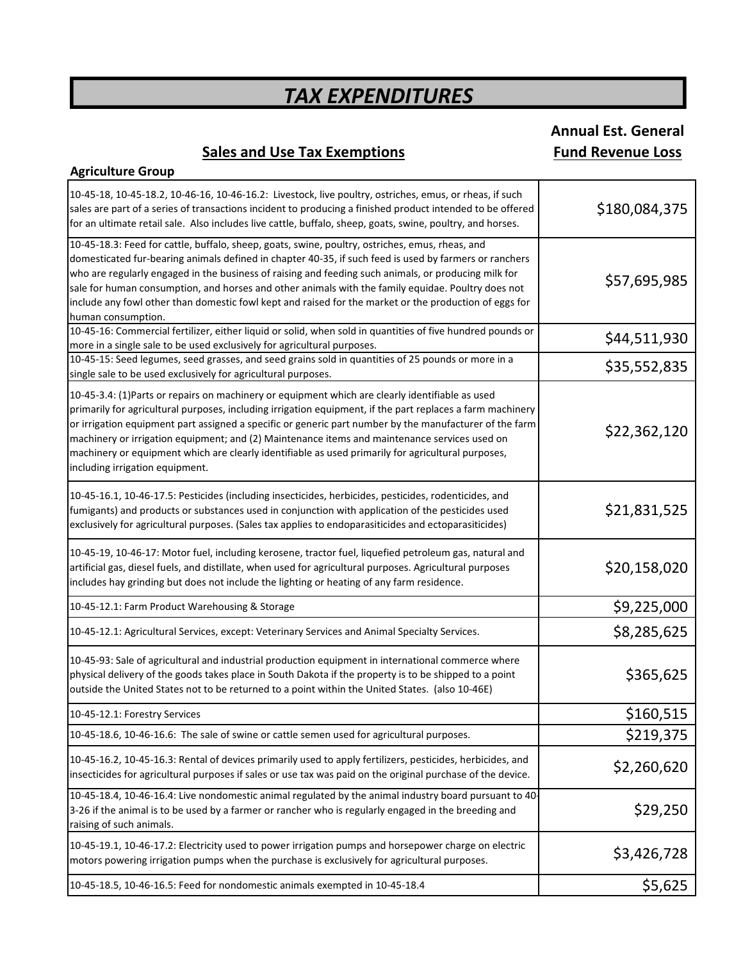# **Annual Est. General**

## **Sales and Use Tax Exemptions Fund Revenue Loss**

| <b>Agriculture Group</b>                                                                                                                                                                                                                                                                                                                                                                                                                                                                                                                                            |               |
|---------------------------------------------------------------------------------------------------------------------------------------------------------------------------------------------------------------------------------------------------------------------------------------------------------------------------------------------------------------------------------------------------------------------------------------------------------------------------------------------------------------------------------------------------------------------|---------------|
| 10-45-18, 10-45-18.2, 10-46-16, 10-46-16.2: Livestock, live poultry, ostriches, emus, or rheas, if such<br>sales are part of a series of transactions incident to producing a finished product intended to be offered<br>for an ultimate retail sale. Also includes live cattle, buffalo, sheep, goats, swine, poultry, and horses.                                                                                                                                                                                                                                 | \$180,084,375 |
| 10-45-18.3: Feed for cattle, buffalo, sheep, goats, swine, poultry, ostriches, emus, rheas, and<br>domesticated fur-bearing animals defined in chapter 40-35, if such feed is used by farmers or ranchers<br>who are regularly engaged in the business of raising and feeding such animals, or producing milk for<br>sale for human consumption, and horses and other animals with the family equidae. Poultry does not<br>include any fowl other than domestic fowl kept and raised for the market or the production of eggs for<br>human consumption.             | \$57,695,985  |
| 10-45-16: Commercial fertilizer, either liquid or solid, when sold in quantities of five hundred pounds or<br>more in a single sale to be used exclusively for agricultural purposes.                                                                                                                                                                                                                                                                                                                                                                               | \$44,511,930  |
| 10-45-15: Seed legumes, seed grasses, and seed grains sold in quantities of 25 pounds or more in a<br>single sale to be used exclusively for agricultural purposes.                                                                                                                                                                                                                                                                                                                                                                                                 | \$35,552,835  |
| 10-45-3.4: (1) Parts or repairs on machinery or equipment which are clearly identifiable as used<br>primarily for agricultural purposes, including irrigation equipment, if the part replaces a farm machinery<br>or irrigation equipment part assigned a specific or generic part number by the manufacturer of the farm<br>machinery or irrigation equipment; and (2) Maintenance items and maintenance services used on<br>machinery or equipment which are clearly identifiable as used primarily for agricultural purposes,<br>including irrigation equipment. | \$22,362,120  |
| 10-45-16.1, 10-46-17.5: Pesticides (including insecticides, herbicides, pesticides, rodenticides, and<br>fumigants) and products or substances used in conjunction with application of the pesticides used<br>exclusively for agricultural purposes. (Sales tax applies to endoparasiticides and ectoparasiticides)                                                                                                                                                                                                                                                 | \$21,831,525  |
| 10-45-19, 10-46-17: Motor fuel, including kerosene, tractor fuel, liquefied petroleum gas, natural and<br>artificial gas, diesel fuels, and distillate, when used for agricultural purposes. Agricultural purposes<br>includes hay grinding but does not include the lighting or heating of any farm residence.                                                                                                                                                                                                                                                     | \$20,158,020  |
| 10-45-12.1: Farm Product Warehousing & Storage                                                                                                                                                                                                                                                                                                                                                                                                                                                                                                                      | \$9,225,000   |
| 10-45-12.1: Agricultural Services, except: Veterinary Services and Animal Specialty Services.                                                                                                                                                                                                                                                                                                                                                                                                                                                                       | \$8,285,625   |
| 10-45-93: Sale of agricultural and industrial production equipment in international commerce where<br>physical delivery of the goods takes place in South Dakota if the property is to be shipped to a point<br>outside the United States not to be returned to a point within the United States. (also 10-46E)                                                                                                                                                                                                                                                     | \$365,625     |
| 10-45-12.1: Forestry Services                                                                                                                                                                                                                                                                                                                                                                                                                                                                                                                                       | \$160,515     |
| 10-45-18.6, 10-46-16.6: The sale of swine or cattle semen used for agricultural purposes.                                                                                                                                                                                                                                                                                                                                                                                                                                                                           | \$219,375     |
| 10-45-16.2, 10-45-16.3: Rental of devices primarily used to apply fertilizers, pesticides, herbicides, and<br>insecticides for agricultural purposes if sales or use tax was paid on the original purchase of the device.                                                                                                                                                                                                                                                                                                                                           | \$2,260,620   |
| 10-45-18.4, 10-46-16.4: Live nondomestic animal regulated by the animal industry board pursuant to 40-<br>3-26 if the animal is to be used by a farmer or rancher who is regularly engaged in the breeding and<br>raising of such animals.                                                                                                                                                                                                                                                                                                                          | \$29,250      |
| 10-45-19.1, 10-46-17.2: Electricity used to power irrigation pumps and horsepower charge on electric<br>motors powering irrigation pumps when the purchase is exclusively for agricultural purposes.                                                                                                                                                                                                                                                                                                                                                                | \$3,426,728   |
| 10-45-18.5, 10-46-16.5: Feed for nondomestic animals exempted in 10-45-18.4                                                                                                                                                                                                                                                                                                                                                                                                                                                                                         | \$5,625       |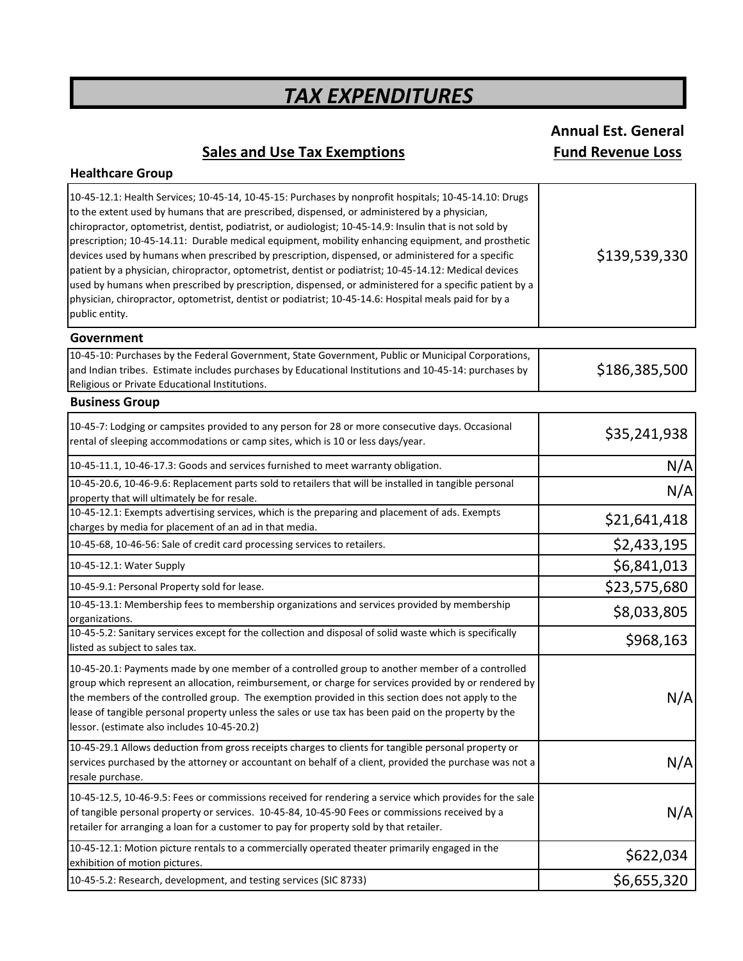## **Sales and Use Tax Exemptions Fund Revenue Loss**

**Healthcare Group**

**Annual Est. General**

| Government<br>10-45-10: Purchases by the Federal Government, State Government, Public or Municipal Corporations,<br>and Indian tribes. Estimate includes purchases by Educational Institutions and 10-45-14: purchases by<br>Religious or Private Educational Institutions.<br><b>Business Group</b><br>10-45-7: Lodging or campsites provided to any person for 28 or more consecutive days. Occasional<br>rental of sleeping accommodations or camp sites, which is 10 or less days/year.<br>10-45-11.1, 10-46-17.3: Goods and services furnished to meet warranty obligation.<br>10-45-20.6, 10-46-9.6: Replacement parts sold to retailers that will be installed in tangible personal<br>property that will ultimately be for resale.<br>10-45-12.1: Exempts advertising services, which is the preparing and placement of ads. Exempts<br>charges by media for placement of an ad in that media.<br>10-45-68, 10-46-56: Sale of credit card processing services to retailers.<br>10-45-12.1: Water Supply<br>10-45-9.1: Personal Property sold for lease.<br>10-45-13.1: Membership fees to membership organizations and services provided by membership<br>organizations.<br>10-45-5.2: Sanitary services except for the collection and disposal of solid waste which is specifically<br>listed as subject to sales tax.<br>10-45-20.1: Payments made by one member of a controlled group to another member of a controlled<br>group which represent an allocation, reimbursement, or charge for services provided by or rendered by<br>the members of the controlled group. The exemption provided in this section does not apply to the<br>lease of tangible personal property unless the sales or use tax has been paid on the property by the<br>lessor. (estimate also includes 10-45-20.2)<br>10-45-29.1 Allows deduction from gross receipts charges to clients for tangible personal property or<br>services purchased by the attorney or accountant on behalf of a client, provided the purchase was not a<br>resale purchase.<br>10-45-12.5, 10-46-9.5: Fees or commissions received for rendering a service which provides for the sale<br>of tangible personal property or services. 10-45-84, 10-45-90 Fees or commissions received by a<br>retailer for arranging a loan for a customer to pay for property sold by that retailer.<br>10-45-12.1: Motion picture rentals to a commercially operated theater primarily engaged in the<br>exhibition of motion pictures. | 10-45-12.1: Health Services; 10-45-14, 10-45-15: Purchases by nonprofit hospitals; 10-45-14.10: Drugs<br>to the extent used by humans that are prescribed, dispensed, or administered by a physician,<br>chiropractor, optometrist, dentist, podiatrist, or audiologist; 10-45-14.9: Insulin that is not sold by<br>prescription; 10-45-14.11: Durable medical equipment, mobility enhancing equipment, and prosthetic<br>devices used by humans when prescribed by prescription, dispensed, or administered for a specific<br>patient by a physician, chiropractor, optometrist, dentist or podiatrist; 10-45-14.12: Medical devices<br>used by humans when prescribed by prescription, dispensed, or administered for a specific patient by a<br>physician, chiropractor, optometrist, dentist or podiatrist; 10-45-14.6: Hospital meals paid for by a<br>public entity. | \$139,539,330 |
|---------------------------------------------------------------------------------------------------------------------------------------------------------------------------------------------------------------------------------------------------------------------------------------------------------------------------------------------------------------------------------------------------------------------------------------------------------------------------------------------------------------------------------------------------------------------------------------------------------------------------------------------------------------------------------------------------------------------------------------------------------------------------------------------------------------------------------------------------------------------------------------------------------------------------------------------------------------------------------------------------------------------------------------------------------------------------------------------------------------------------------------------------------------------------------------------------------------------------------------------------------------------------------------------------------------------------------------------------------------------------------------------------------------------------------------------------------------------------------------------------------------------------------------------------------------------------------------------------------------------------------------------------------------------------------------------------------------------------------------------------------------------------------------------------------------------------------------------------------------------------------------------------------------------------------------------------------------------------------------------------------------------------------------------------------------------------------------------------------------------------------------------------------------------------------------------------------------------------------------------------------------------------------------------------------------------------------------------------------------------------------------------------------------------------------------------------------------------------------------------|----------------------------------------------------------------------------------------------------------------------------------------------------------------------------------------------------------------------------------------------------------------------------------------------------------------------------------------------------------------------------------------------------------------------------------------------------------------------------------------------------------------------------------------------------------------------------------------------------------------------------------------------------------------------------------------------------------------------------------------------------------------------------------------------------------------------------------------------------------------------------|---------------|
|                                                                                                                                                                                                                                                                                                                                                                                                                                                                                                                                                                                                                                                                                                                                                                                                                                                                                                                                                                                                                                                                                                                                                                                                                                                                                                                                                                                                                                                                                                                                                                                                                                                                                                                                                                                                                                                                                                                                                                                                                                                                                                                                                                                                                                                                                                                                                                                                                                                                                             |                                                                                                                                                                                                                                                                                                                                                                                                                                                                                                                                                                                                                                                                                                                                                                                                                                                                            |               |
|                                                                                                                                                                                                                                                                                                                                                                                                                                                                                                                                                                                                                                                                                                                                                                                                                                                                                                                                                                                                                                                                                                                                                                                                                                                                                                                                                                                                                                                                                                                                                                                                                                                                                                                                                                                                                                                                                                                                                                                                                                                                                                                                                                                                                                                                                                                                                                                                                                                                                             |                                                                                                                                                                                                                                                                                                                                                                                                                                                                                                                                                                                                                                                                                                                                                                                                                                                                            | \$186,385,500 |
|                                                                                                                                                                                                                                                                                                                                                                                                                                                                                                                                                                                                                                                                                                                                                                                                                                                                                                                                                                                                                                                                                                                                                                                                                                                                                                                                                                                                                                                                                                                                                                                                                                                                                                                                                                                                                                                                                                                                                                                                                                                                                                                                                                                                                                                                                                                                                                                                                                                                                             |                                                                                                                                                                                                                                                                                                                                                                                                                                                                                                                                                                                                                                                                                                                                                                                                                                                                            |               |
|                                                                                                                                                                                                                                                                                                                                                                                                                                                                                                                                                                                                                                                                                                                                                                                                                                                                                                                                                                                                                                                                                                                                                                                                                                                                                                                                                                                                                                                                                                                                                                                                                                                                                                                                                                                                                                                                                                                                                                                                                                                                                                                                                                                                                                                                                                                                                                                                                                                                                             |                                                                                                                                                                                                                                                                                                                                                                                                                                                                                                                                                                                                                                                                                                                                                                                                                                                                            | \$35,241,938  |
|                                                                                                                                                                                                                                                                                                                                                                                                                                                                                                                                                                                                                                                                                                                                                                                                                                                                                                                                                                                                                                                                                                                                                                                                                                                                                                                                                                                                                                                                                                                                                                                                                                                                                                                                                                                                                                                                                                                                                                                                                                                                                                                                                                                                                                                                                                                                                                                                                                                                                             |                                                                                                                                                                                                                                                                                                                                                                                                                                                                                                                                                                                                                                                                                                                                                                                                                                                                            | N/A           |
|                                                                                                                                                                                                                                                                                                                                                                                                                                                                                                                                                                                                                                                                                                                                                                                                                                                                                                                                                                                                                                                                                                                                                                                                                                                                                                                                                                                                                                                                                                                                                                                                                                                                                                                                                                                                                                                                                                                                                                                                                                                                                                                                                                                                                                                                                                                                                                                                                                                                                             |                                                                                                                                                                                                                                                                                                                                                                                                                                                                                                                                                                                                                                                                                                                                                                                                                                                                            | N/A           |
|                                                                                                                                                                                                                                                                                                                                                                                                                                                                                                                                                                                                                                                                                                                                                                                                                                                                                                                                                                                                                                                                                                                                                                                                                                                                                                                                                                                                                                                                                                                                                                                                                                                                                                                                                                                                                                                                                                                                                                                                                                                                                                                                                                                                                                                                                                                                                                                                                                                                                             |                                                                                                                                                                                                                                                                                                                                                                                                                                                                                                                                                                                                                                                                                                                                                                                                                                                                            | \$21,641,418  |
|                                                                                                                                                                                                                                                                                                                                                                                                                                                                                                                                                                                                                                                                                                                                                                                                                                                                                                                                                                                                                                                                                                                                                                                                                                                                                                                                                                                                                                                                                                                                                                                                                                                                                                                                                                                                                                                                                                                                                                                                                                                                                                                                                                                                                                                                                                                                                                                                                                                                                             |                                                                                                                                                                                                                                                                                                                                                                                                                                                                                                                                                                                                                                                                                                                                                                                                                                                                            | \$2,433,195   |
|                                                                                                                                                                                                                                                                                                                                                                                                                                                                                                                                                                                                                                                                                                                                                                                                                                                                                                                                                                                                                                                                                                                                                                                                                                                                                                                                                                                                                                                                                                                                                                                                                                                                                                                                                                                                                                                                                                                                                                                                                                                                                                                                                                                                                                                                                                                                                                                                                                                                                             |                                                                                                                                                                                                                                                                                                                                                                                                                                                                                                                                                                                                                                                                                                                                                                                                                                                                            | \$6,841,013   |
|                                                                                                                                                                                                                                                                                                                                                                                                                                                                                                                                                                                                                                                                                                                                                                                                                                                                                                                                                                                                                                                                                                                                                                                                                                                                                                                                                                                                                                                                                                                                                                                                                                                                                                                                                                                                                                                                                                                                                                                                                                                                                                                                                                                                                                                                                                                                                                                                                                                                                             |                                                                                                                                                                                                                                                                                                                                                                                                                                                                                                                                                                                                                                                                                                                                                                                                                                                                            | \$23,575,680  |
|                                                                                                                                                                                                                                                                                                                                                                                                                                                                                                                                                                                                                                                                                                                                                                                                                                                                                                                                                                                                                                                                                                                                                                                                                                                                                                                                                                                                                                                                                                                                                                                                                                                                                                                                                                                                                                                                                                                                                                                                                                                                                                                                                                                                                                                                                                                                                                                                                                                                                             |                                                                                                                                                                                                                                                                                                                                                                                                                                                                                                                                                                                                                                                                                                                                                                                                                                                                            | \$8,033,805   |
|                                                                                                                                                                                                                                                                                                                                                                                                                                                                                                                                                                                                                                                                                                                                                                                                                                                                                                                                                                                                                                                                                                                                                                                                                                                                                                                                                                                                                                                                                                                                                                                                                                                                                                                                                                                                                                                                                                                                                                                                                                                                                                                                                                                                                                                                                                                                                                                                                                                                                             |                                                                                                                                                                                                                                                                                                                                                                                                                                                                                                                                                                                                                                                                                                                                                                                                                                                                            | \$968,163     |
|                                                                                                                                                                                                                                                                                                                                                                                                                                                                                                                                                                                                                                                                                                                                                                                                                                                                                                                                                                                                                                                                                                                                                                                                                                                                                                                                                                                                                                                                                                                                                                                                                                                                                                                                                                                                                                                                                                                                                                                                                                                                                                                                                                                                                                                                                                                                                                                                                                                                                             |                                                                                                                                                                                                                                                                                                                                                                                                                                                                                                                                                                                                                                                                                                                                                                                                                                                                            | N/A           |
|                                                                                                                                                                                                                                                                                                                                                                                                                                                                                                                                                                                                                                                                                                                                                                                                                                                                                                                                                                                                                                                                                                                                                                                                                                                                                                                                                                                                                                                                                                                                                                                                                                                                                                                                                                                                                                                                                                                                                                                                                                                                                                                                                                                                                                                                                                                                                                                                                                                                                             |                                                                                                                                                                                                                                                                                                                                                                                                                                                                                                                                                                                                                                                                                                                                                                                                                                                                            | N/A           |
|                                                                                                                                                                                                                                                                                                                                                                                                                                                                                                                                                                                                                                                                                                                                                                                                                                                                                                                                                                                                                                                                                                                                                                                                                                                                                                                                                                                                                                                                                                                                                                                                                                                                                                                                                                                                                                                                                                                                                                                                                                                                                                                                                                                                                                                                                                                                                                                                                                                                                             |                                                                                                                                                                                                                                                                                                                                                                                                                                                                                                                                                                                                                                                                                                                                                                                                                                                                            | N/A           |
|                                                                                                                                                                                                                                                                                                                                                                                                                                                                                                                                                                                                                                                                                                                                                                                                                                                                                                                                                                                                                                                                                                                                                                                                                                                                                                                                                                                                                                                                                                                                                                                                                                                                                                                                                                                                                                                                                                                                                                                                                                                                                                                                                                                                                                                                                                                                                                                                                                                                                             |                                                                                                                                                                                                                                                                                                                                                                                                                                                                                                                                                                                                                                                                                                                                                                                                                                                                            | \$622,034     |
|                                                                                                                                                                                                                                                                                                                                                                                                                                                                                                                                                                                                                                                                                                                                                                                                                                                                                                                                                                                                                                                                                                                                                                                                                                                                                                                                                                                                                                                                                                                                                                                                                                                                                                                                                                                                                                                                                                                                                                                                                                                                                                                                                                                                                                                                                                                                                                                                                                                                                             | 10-45-5.2: Research, development, and testing services (SIC 8733)                                                                                                                                                                                                                                                                                                                                                                                                                                                                                                                                                                                                                                                                                                                                                                                                          | \$6,655,320   |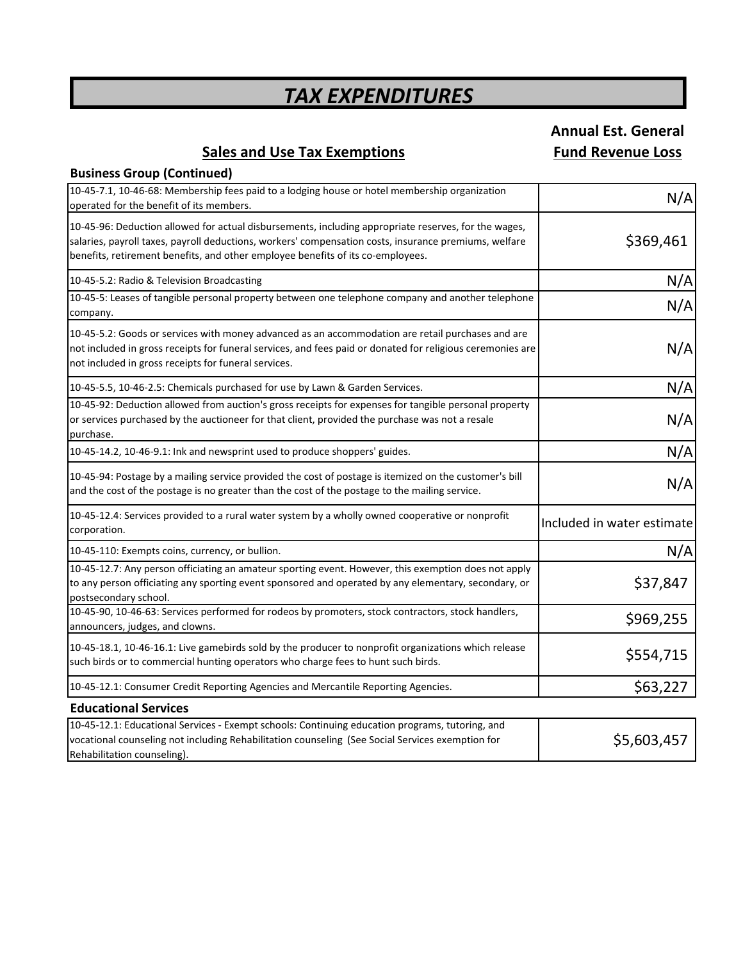# **Annual Est. General**

### **Sales and Use Tax Exemptions Fund Revenue Loss**

**Business Group (Continued)**

| 10-45-7.1, 10-46-68: Membership fees paid to a lodging house or hotel membership organization<br>operated for the benefit of its members.                                                                                                                                                        | N/A                        |
|--------------------------------------------------------------------------------------------------------------------------------------------------------------------------------------------------------------------------------------------------------------------------------------------------|----------------------------|
| 10-45-96: Deduction allowed for actual disbursements, including appropriate reserves, for the wages,<br>salaries, payroll taxes, payroll deductions, workers' compensation costs, insurance premiums, welfare<br>benefits, retirement benefits, and other employee benefits of its co-employees. | \$369,461                  |
| 10-45-5.2: Radio & Television Broadcasting                                                                                                                                                                                                                                                       | N/A                        |
| 10-45-5: Leases of tangible personal property between one telephone company and another telephone<br>company.                                                                                                                                                                                    | N/A                        |
| 10-45-5.2: Goods or services with money advanced as an accommodation are retail purchases and are<br>not included in gross receipts for funeral services, and fees paid or donated for religious ceremonies are<br>not included in gross receipts for funeral services.                          | N/A                        |
| 10-45-5.5, 10-46-2.5: Chemicals purchased for use by Lawn & Garden Services.                                                                                                                                                                                                                     | N/A                        |
| 10-45-92: Deduction allowed from auction's gross receipts for expenses for tangible personal property<br>or services purchased by the auctioneer for that client, provided the purchase was not a resale<br>purchase.                                                                            | N/A                        |
| 10-45-14.2, 10-46-9.1: Ink and newsprint used to produce shoppers' guides.                                                                                                                                                                                                                       | N/A                        |
| 10-45-94: Postage by a mailing service provided the cost of postage is itemized on the customer's bill<br>and the cost of the postage is no greater than the cost of the postage to the mailing service.                                                                                         | N/A                        |
| 10-45-12.4: Services provided to a rural water system by a wholly owned cooperative or nonprofit<br>corporation.                                                                                                                                                                                 | Included in water estimate |
| 10-45-110: Exempts coins, currency, or bullion.                                                                                                                                                                                                                                                  | N/A                        |
| 10-45-12.7: Any person officiating an amateur sporting event. However, this exemption does not apply<br>to any person officiating any sporting event sponsored and operated by any elementary, secondary, or<br>postsecondary school.                                                            | \$37,847                   |
| 10-45-90, 10-46-63: Services performed for rodeos by promoters, stock contractors, stock handlers,<br>announcers, judges, and clowns.                                                                                                                                                            | \$969,255                  |
| 10-45-18.1, 10-46-16.1: Live gamebirds sold by the producer to nonprofit organizations which release<br>such birds or to commercial hunting operators who charge fees to hunt such birds.                                                                                                        | \$554,715                  |
| 10-45-12.1: Consumer Credit Reporting Agencies and Mercantile Reporting Agencies.                                                                                                                                                                                                                | \$63,227                   |
| <b>Educational Services</b>                                                                                                                                                                                                                                                                      |                            |
| 10-45-12.1: Educational Services - Exempt schools: Continuing education programs, tutoring, and<br>vocational counseling not including Rehabilitation counseling (See Social Services exemption for<br>Rehabilitation counseling).                                                               | \$5,603,457                |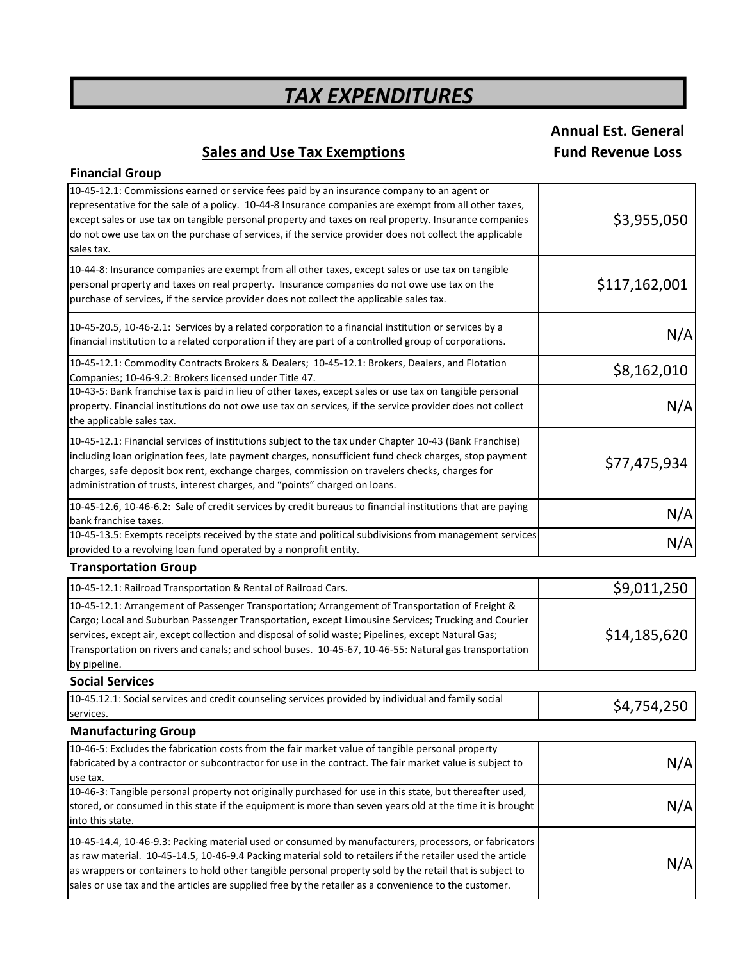# **Annual Est. General**

### **Sales and Use Tax Exemptions Fund Revenue Loss**

| <b>Financial Group</b>                                                                                                                                                                                                                                                                                                                                                                                                                   |               |
|------------------------------------------------------------------------------------------------------------------------------------------------------------------------------------------------------------------------------------------------------------------------------------------------------------------------------------------------------------------------------------------------------------------------------------------|---------------|
| 10-45-12.1: Commissions earned or service fees paid by an insurance company to an agent or<br>representative for the sale of a policy. 10-44-8 Insurance companies are exempt from all other taxes,<br>except sales or use tax on tangible personal property and taxes on real property. Insurance companies<br>do not owe use tax on the purchase of services, if the service provider does not collect the applicable<br>sales tax.    | \$3,955,050   |
| 10-44-8: Insurance companies are exempt from all other taxes, except sales or use tax on tangible<br>personal property and taxes on real property. Insurance companies do not owe use tax on the<br>purchase of services, if the service provider does not collect the applicable sales tax.                                                                                                                                             | \$117,162,001 |
| 10-45-20.5, 10-46-2.1: Services by a related corporation to a financial institution or services by a<br>financial institution to a related corporation if they are part of a controlled group of corporations.                                                                                                                                                                                                                           | N/A           |
| 10-45-12.1: Commodity Contracts Brokers & Dealers; 10-45-12.1: Brokers, Dealers, and Flotation<br>Companies; 10-46-9.2: Brokers licensed under Title 47.                                                                                                                                                                                                                                                                                 | \$8,162,010   |
| 10-43-5: Bank franchise tax is paid in lieu of other taxes, except sales or use tax on tangible personal<br>property. Financial institutions do not owe use tax on services, if the service provider does not collect<br>the applicable sales tax.                                                                                                                                                                                       | N/A           |
| 10-45-12.1: Financial services of institutions subject to the tax under Chapter 10-43 (Bank Franchise)<br>including loan origination fees, late payment charges, nonsufficient fund check charges, stop payment<br>charges, safe deposit box rent, exchange charges, commission on travelers checks, charges for<br>administration of trusts, interest charges, and "points" charged on loans.                                           | \$77,475,934  |
| 10-45-12.6, 10-46-6.2: Sale of credit services by credit bureaus to financial institutions that are paying<br>bank franchise taxes.                                                                                                                                                                                                                                                                                                      | N/A           |
| 10-45-13.5: Exempts receipts received by the state and political subdivisions from management services<br>provided to a revolving loan fund operated by a nonprofit entity.                                                                                                                                                                                                                                                              | N/A           |
| <b>Transportation Group</b>                                                                                                                                                                                                                                                                                                                                                                                                              |               |
| 10-45-12.1: Railroad Transportation & Rental of Railroad Cars.                                                                                                                                                                                                                                                                                                                                                                           | \$9,011,250   |
| 10-45-12.1: Arrangement of Passenger Transportation; Arrangement of Transportation of Freight &<br>Cargo; Local and Suburban Passenger Transportation, except Limousine Services; Trucking and Courier<br>services, except air, except collection and disposal of solid waste; Pipelines, except Natural Gas;<br>Transportation on rivers and canals; and school buses. 10-45-67, 10-46-55: Natural gas transportation<br>by pipeline.   | \$14,185,620  |
| <b>Social Services</b>                                                                                                                                                                                                                                                                                                                                                                                                                   |               |
| 10-45.12.1: Social services and credit counseling services provided by individual and family social<br>services.                                                                                                                                                                                                                                                                                                                         | \$4,754,250   |
| <b>Manufacturing Group</b>                                                                                                                                                                                                                                                                                                                                                                                                               |               |
| 10-46-5: Excludes the fabrication costs from the fair market value of tangible personal property<br>fabricated by a contractor or subcontractor for use in the contract. The fair market value is subject to<br>use tax.                                                                                                                                                                                                                 | N/A           |
| 10-46-3: Tangible personal property not originally purchased for use in this state, but thereafter used,<br>stored, or consumed in this state if the equipment is more than seven years old at the time it is brought<br>into this state.                                                                                                                                                                                                | N/A           |
| 10-45-14.4, 10-46-9.3: Packing material used or consumed by manufacturers, processors, or fabricators<br>as raw material. 10-45-14.5, 10-46-9.4 Packing material sold to retailers if the retailer used the article<br>as wrappers or containers to hold other tangible personal property sold by the retail that is subject to<br>sales or use tax and the articles are supplied free by the retailer as a convenience to the customer. | N/A           |